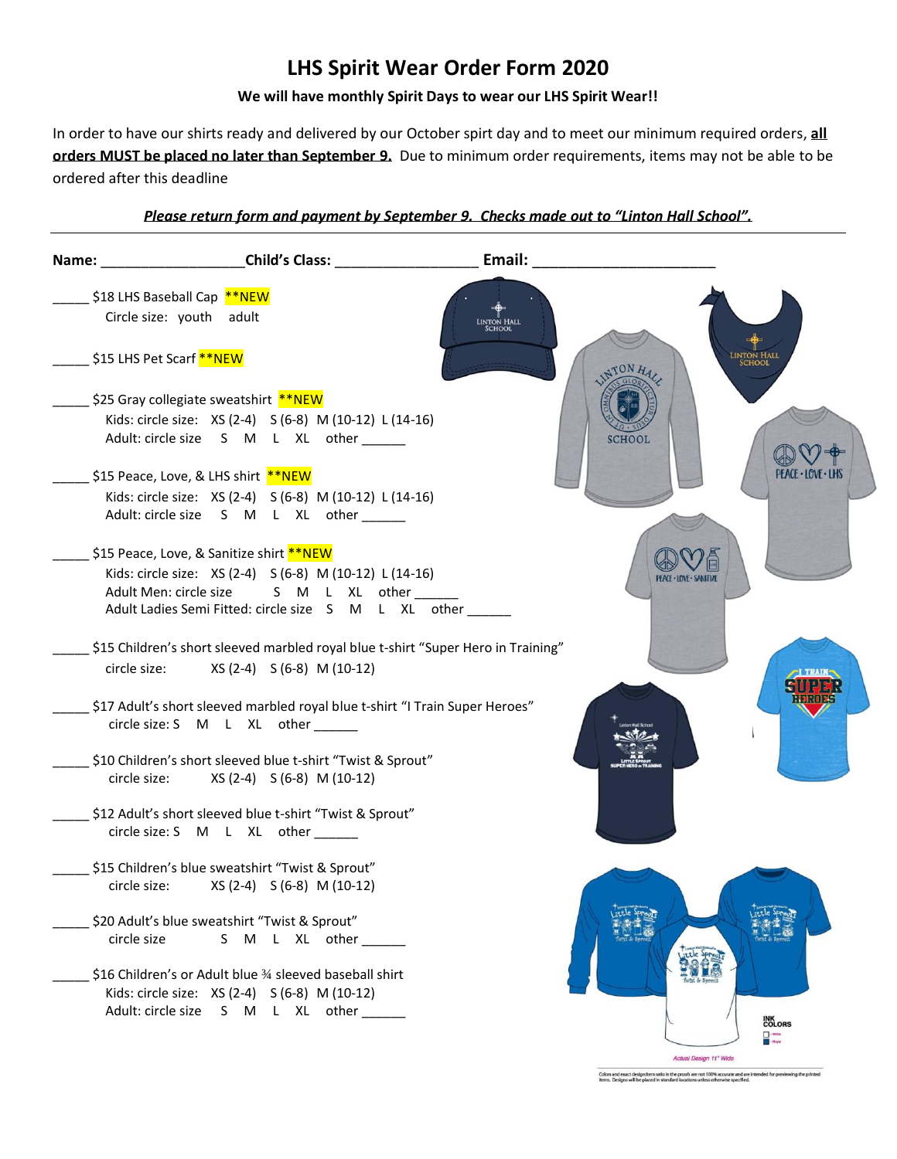## **LHS Spirit Wear Order Form 2020**

## **We will have monthly Spirit Days to wear our LHS Spirit Wear!!**

In order to have our shirts ready and delivered by our October spirt day and to meet our minimum required orders, **all orders MUST be placed no later than September 9.** Due to minimum order requirements, items may not be able to be ordered after this deadline

## *Please return form and payment by September 9. Checks made out to "Linton Hall School".*